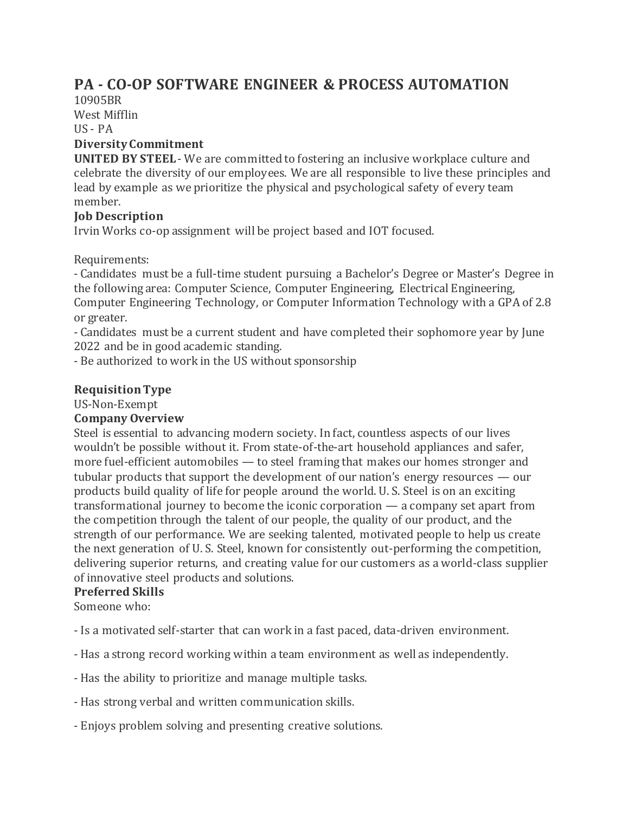# **PA - CO-OP SOFTWARE ENGINEER & PROCESS AUTOMATION**

10905BR West Mifflin US - PA

# **Diversity Commitment**

**UNITED BY STEEL**- We are committed to fostering an inclusive workplace culture and celebrate the diversity of our employees. We are all responsible to live these principles and lead by example as we prioritize the physical and psychological safety of every team member.

# **Job Description**

Irvin Works co-op assignment will be project based and IOT focused.

Requirements:

- Candidates must be a full-time student pursuing a Bachelor's Degree or Master's Degree in the following area: Computer Science, Computer Engineering, Electrical Engineering, Computer Engineering Technology, or Computer Information Technology with a GPA of 2.8 or greater.

- Candidates must be a current student and have completed their sophomore year by June 2022 and be in good academic standing.

- Be authorized to work in the US without sponsorship

#### **Requisition Type**

US-Non-Exempt

#### **Company Overview**

Steel is essential to advancing modern society. In fact, countless aspects of our lives wouldn't be possible without it. From state-of-the-art household appliances and safer, more fuel-efficient automobiles — to steel framing that makes our homes stronger and tubular products that support the development of our nation's energy resources — our products build quality of life for people around the world. U. S. Steel is on an exciting transformational journey to become the iconic corporation — a company set apart from the competition through the talent of our people, the quality of our product, and the strength of our performance. We are seeking talented, motivated people to help us create the next generation of U. S. Steel, known for consistently out-performing the competition, delivering superior returns, and creating value for our customers as a world-class supplier of innovative steel products and solutions.

#### **Preferred Skills**

Someone who:

- Is a motivated self-starter that can work in a fast paced, data-driven environment.

- Has a strong record working within a team environment as well as independently.
- Has the ability to prioritize and manage multiple tasks.
- Has strong verbal and written communication skills.
- Enjoys problem solving and presenting creative solutions.